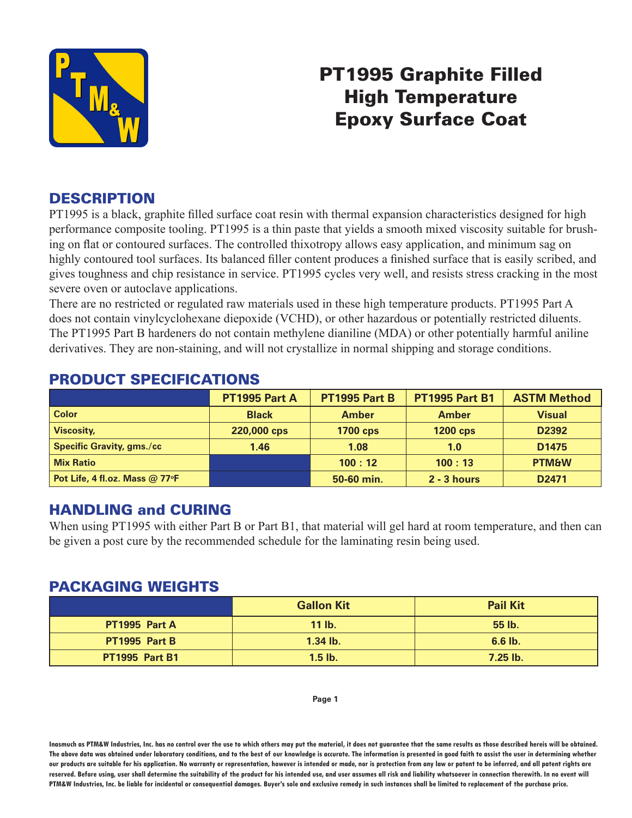

# PT1995 Graphite Filled High Temperature Epoxy Surface Coat

## **DESCRIPTION**

PT1995 is a black, graphite filled surface coat resin with thermal expansion characteristics designed for high performance composite tooling. PT1995 is a thin paste that yields a smooth mixed viscosity suitable for brushing on flat or contoured surfaces. The controlled thixotropy allows easy application, and minimum sag on highly contoured tool surfaces. Its balanced filler content produces a finished surface that is easily scribed, and gives toughness and chip resistance in service. PT1995 cycles very well, and resists stress cracking in the most severe oven or autoclave applications.

There are no restricted or regulated raw materials used in these high temperature products. PT1995 Part A does not contain vinylcyclohexane diepoxide (VCHD), or other hazardous or potentially restricted diluents. The PT1995 Part B hardeners do not contain methylene dianiline (MDA) or other potentially harmful aniline derivatives. They are non-staining, and will not crystallize in normal shipping and storage conditions.

|                                  | PT1995 Part A | PT1995 Part B   | <b>PT1995 Part B1</b> | <b>ASTM Method</b> |
|----------------------------------|---------------|-----------------|-----------------------|--------------------|
| <b>Color</b>                     | <b>Black</b>  | <b>Amber</b>    | <b>Amber</b>          | <b>Visual</b>      |
| <b>Viscosity,</b>                | 220,000 cps   | <b>1700 cps</b> | $1200$ cps            | D2392              |
| <b>Specific Gravity, gms./cc</b> | 1.46          | 1.08            | 1.0                   | D <sub>1475</sub>  |
| <b>Mix Ratio</b>                 |               | 100:12          | 100:13                | <b>PTM&amp;W</b>   |
| Pot Life, 4 fl.oz. Mass @ 77°F   |               | 50-60 min.      | $2 - 3$ hours         | D <sub>2471</sub>  |

# PRODUCT SPECIFICATIONS

## HANDLING and CURING

When using PT1995 with either Part B or Part B1, that material will gel hard at room temperature, and then can be given a post cure by the recommended schedule for the laminating resin being used.

### PACKAGING WEIGHTS

|                       | <b>Gallon Kit</b> | <b>Pail Kit</b> |
|-----------------------|-------------------|-----------------|
| PT1995 Part A         | $11$ lb.          | 55 lb.          |
| PT1995 Part B         | $1.34$ lb.        | $6.6$ lb.       |
| <b>PT1995 Part B1</b> | $1.5$ lb.         | $7.25$ lb.      |

#### **Page 1**

**Inasmuch as PTM&W Industries, Inc. has no control over the use to which others may put the material, it does not guarantee that the same results as those described hereis will be obtained. The above data was obtained under laboratory conditions, and to the best of our knowledge is accurate. The information is presented in good faith to assist the user in determining whether our products are suitable for his application. No warranty or representation, however is intended or made, nor is protection from any law or patent to be inferred, and all patent rights are**  reserved. Before using, user shall determine the suitability of the product for his intended use, and user assumes all risk and liability whatsoever in connection therewith. In no event will **PTM&W Industries, Inc. be liable for incidental or consequential damages. Buyer's sole and exclusive remedy in such instances shall be limited to replacement of the purchase price.**